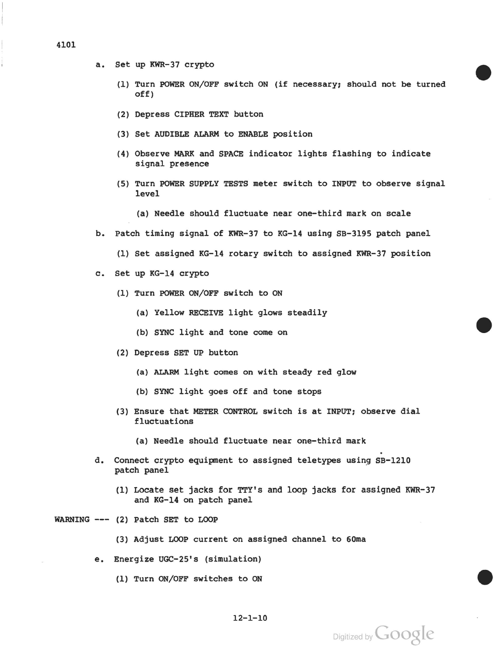- a. Set up KWR-37 crypto
	- (1) Turn POWER ON/OFF switch ON (if necessary; should not be turned off)
	- (2) Depress CIPHER TEXT button
	- (3) Set AUDIBLE ALARM to ENABLE position
	- (4) Observe MARK and SPACE indicator lights flashing to indicate signal presence
	- (5) Turn POWER SUPPLY TESTS meter switch to INPUT to observe signal level
		- (a) Needle should fluctuate near one-third mark on scale
- b. Patch timing signal of KWR-37 to KG-14 using SB-3195 patch panel
	- (1) Set assigned KG-14 rotary switch to assigned KWR-37 position
- c. Set up KG-14 crypto
	- (1) Turn POWER ON/OFF switch to ON
		- (a) Yellow RECEIVE light glows steadily
		- (b) SYNC light and tone come on
	- (2) Depress SET UP button
		- (a) ALARM light comes on with steady red glow
		- (b) SYNC light goes off and tone stops
	- (3) Ensure that METER CONTROL switch is at INPUT; observe dial fluctuations
		- (a) Needle should fluctuate near one-third mark
- d. Connect crypto equipment to assigned teletypes using SB-1210 patch panel
	- (1) Locate set jacks for TTY's and loop jacks for assigned KWR-37 and KG-14 on patch panel

Digitized by **Google** 

- WARNING --- (2) Patch SET to LOOP
	- (3) Adjust LOOP current on assigned channel to 60ma
	- e. Energize UGC-2S's (simulation)
		- (1) Turn ON/OFF switches to ON

12-1-10

## 4101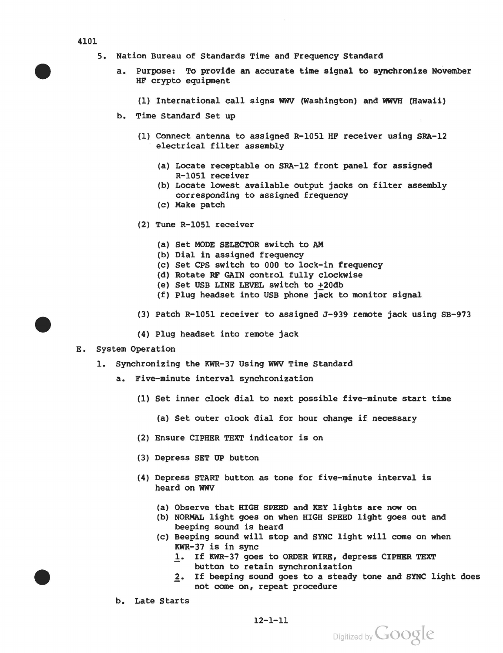## 4101

- 5. Nation Bureau of Standards Time and Frequency Standard
	- a. Purpose: To provide an accurate time signal to synchronize November HF crypto equipment
		- (1) International call signs WWV fWashington) and WWVH (Hawaii)
	- b. Time standard Set up
		- (1) Connect antenna to assigned R-1051 HF receiver using SRA-12 electrical filter assembly
			- (a) Locate receptable on SRA-12 front panel for assigned R-1051 receiver
			- (b) Locate lowest available output jacks on filter assembly corresponding to assigned frequency
			- (c) Make patch
		- (2) Tune R-1051 receiver
			- (a) Set MODE SELECTOR switch to AM
			- (b) Dial in assigned frequency
			- (c) Set CPS switch to 000 to lock-in frequency
			- (d) Rotate RF GAIN control fully clockwise
			- (e) Set USB LINE LEVEL switch to +20db
			- (f) Plug headset into USB phone jack to monitor signal
		- (3) Patch R-1051 receiver to assigned J-939 remote jack using SB-973
		- (4) Plug headset into remote jack
- E. System Operation
	- 1. Synchronizing the KWR-37 Using WWV Time Standard
		- a. Five-minute interval synchronization
			- (1) Set inner clock dial to next possible five-minute start time
				- (a) Set outer clock dial for hour change if necessary
			- (2) Ensure CIPHER TEXT indicator is on
			- (3) Depress SET UP button
			- (4) Depress START button as tone for five-minute interval is heard on WWV
				- (a) Observe that HIGH SPEED and KEY lights are now on
				- (b) NORMAL light goes on when HIGH SPEED light goes out and beeping sound is heard
				- (c) Beeping sound will stop and SYNC light will come on when KWR-37 is in sync
					- 1. If KWR-37 goes to ORDER WIRE, depress CIPHER TEXT button to retain synchronization
					- 2. If beeping sound goes to a steady tone and SYNC light does not come on, repeat procedure
		- b. Late Starts